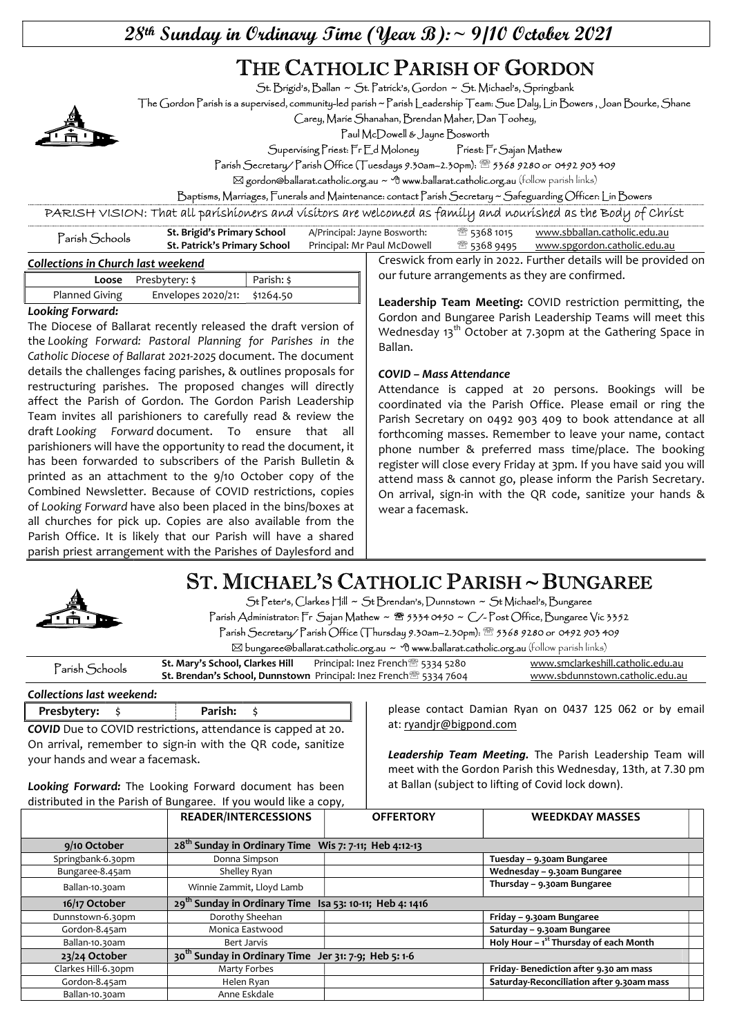28th Sunday in Ordinary Time (Year B): ~ 9/10 October 2021

# THE CATHOLIC PARISH OF GORDON

St. Brigid's, Ballan ~ St. Patrick's, Gordon ~ St. Michael's, Springbank

The Gordon Parish is a supervised, community-led parish ~ Parish Leadership Team: Sue Daly, Lin Bowers , Joan Bourke, Shane

Carey, Marie Shanahan, Brendan Maher, Dan Toohey,

Paul McDowell & Jayne Bosworth

Supervising Priest: Fr Ed Moloney Priest: Fr Sajan Mathew

Parish Secretary/ Parish Office (Tuesdays 9.30am–2.30pm): 5368 9280 or 0492 903 409

 $\boxtimes$  gordon@ballarat.catholic.org.au ~  $\oplus$  www.ballarat.catholic.org.au (follow parish links)

Baptisms, Marriages, Funerals and Maintenance: contact Parish Secretary ~ Safeguarding Officer: Lin Bowers

PARISH VISION: That all parishioners and visitors are welcomed as family and nourished as the Body of Christ

| Parísh Schools                     | St. Brigid's Primary School  | A/Principal: Jayne Bosworth: | ි 5368 1015 | www.sbballan.catholic.edu.au                                     |
|------------------------------------|------------------------------|------------------------------|-------------|------------------------------------------------------------------|
|                                    | St. Patrick's Primary School | Principal: Mr Paul McDowell  |             | <sup>靈</sup> 5368 9495 <u>www.spgordon.catholic.edu.au</u>       |
| Collections in Church last weekend |                              |                              |             | Creswick from early in 2022. Further details will be provided or |

| <b>Loose</b> Presbytery: \$ |                              | Parish: \$ |
|-----------------------------|------------------------------|------------|
| Planned Giving              | Envelopes 2020/21: \$1264.50 |            |

#### Looking Forward:

The Diocese of Ballarat recently released the draft version of the Looking Forward: Pastoral Planning for Parishes in the Catholic Diocese of Ballarat 2021-2025 document. The document details the challenges facing parishes, & outlines proposals for restructuring parishes. The proposed changes will directly affect the Parish of Gordon. The Gordon Parish Leadership Team invites all parishioners to carefully read & review the draft Looking Forward document. To ensure that all parishioners will have the opportunity to read the document, it has been forwarded to subscribers of the Parish Bulletin & printed as an attachment to the 9/10 October copy of the Combined Newsletter. Because of COVID restrictions, copies of Looking Forward have also been placed in the bins/boxes at all churches for pick up. Copies are also available from the Parish Office. It is likely that our Parish will have a shared parish priest arrangement with the Parishes of Daylesford and

Creswick from early in 2022. Further details will be provided on our future arrangements as they are confirmed.

Leadership Team Meeting: COVID restriction permitting, the Gordon and Bungaree Parish Leadership Teams will meet this Wednesday 13<sup>th</sup> October at 7.30pm at the Gathering Space in Ballan.

#### COVID – Mass Attendance

Attendance is capped at 20 persons. Bookings will be coordinated via the Parish Office. Please email or ring the Parish Secretary on 0492 903 409 to book attendance at all forthcoming masses. Remember to leave your name, contact phone number & preferred mass time/place. The booking register will close every Friday at 3pm. If you have said you will attend mass & cannot go, please inform the Parish Secretary. On arrival, sign-in with the QR code, sanitize your hands & wear a facemask.

# ST. MICHAEL'S CATHOLIC PARISH ~ BUNGAREE



St Peter's, Clarkes Hill ~ St Brendan's, Dunnstown ~ St Michael's, Bungaree Parish Administrator: Fr Sajan Mathew ~ <sup>8</sup> 5334 0450 ~ C/-Post Office, Bungaree Vic 3352 Parish Secretary/ Parish Office (Thursday 9.30am–2.30pm): 5368 9280 or 0492 903 409

 $\boxtimes$  bungaree@ballarat.catholic.org.au ~  $\Phi$  www.ballarat.catholic.org.au (follow parish links)

| $\mathsf{?}$ arísh $\mathsf{S}$ chools | St. Mary's School, Clarkes Hill | Principal: Inez French <sup>3</sup> 5334 5280                                        | www.smclarkeshill.catholic.edu.au |
|----------------------------------------|---------------------------------|--------------------------------------------------------------------------------------|-----------------------------------|
|                                        |                                 | <b>St. Brendan's School, Dunnstown</b> Principal: Inez French <sup>®</sup> 5334 7604 | www.sbdunnstown.catholic.edu.au   |

Collections last weekend:

| Presbytery:                                                         | Parish: |  |
|---------------------------------------------------------------------|---------|--|
| <b>COVID</b> Due to COVID restrictions, attendance is capped at 20. |         |  |
| On arrival, remember to sign-in with the QR code, sanitize          |         |  |
| your hands and wear a facemask.                                     |         |  |

Looking Forward: The Looking Forward document has been distributed in the Parish of Bungaree. If you would like a copy, please contact Damian Ryan on 0437 125 062 or by email at: ryandjr@bigpond.com

Leadership Team Meeting. The Parish Leadership Team will meet with the Gordon Parish this Wednesday, 13th, at 7.30 pm at Ballan (subject to lifting of Covid lock down).

|                     | <b>READER/INTERCESSIONS</b>                                         | <b>OFFERTORY</b> | <b>WEEDKDAY MASSES</b>                     |
|---------------------|---------------------------------------------------------------------|------------------|--------------------------------------------|
| 9/10 October        | 28 <sup>th</sup> Sunday in Ordinary Time Wis 7: 7-11; Heb 4:12-13   |                  |                                            |
| Springbank-6.30pm   | Donna Simpson                                                       |                  | Tuesday - 9.30am Bungaree                  |
| Bungaree-8.45am     | Shelley Ryan                                                        |                  | Wednesday - 9.30am Bungaree                |
| Ballan-10.30am      | Winnie Zammit, Lloyd Lamb                                           |                  | Thursday - 9.30am Bungaree                 |
| 16/17 October       | 29 <sup>th</sup> Sunday in Ordinary Time Isa 53: 10-11; Heb 4: 1416 |                  |                                            |
| Dunnstown-6.30pm    | Dorothy Sheehan                                                     |                  | Friday - 9.30am Bungaree                   |
| Gordon-8.45am       | Monica Eastwood                                                     |                  | Saturday - 9.30am Bungaree                 |
| Ballan-10.30am      | Bert Jarvis                                                         |                  | Holy Hour $-1^{st}$ Thursday of each Month |
| 23/24 October       | 30 <sup>th</sup> Sunday in Ordinary Time Jer 31: 7-9; Heb 5: 1-6    |                  |                                            |
| Clarkes Hill-6.30pm | Marty Forbes                                                        |                  | Friday-Benediction after 9.30 am mass      |
| Gordon-8.45am       | Helen Ryan                                                          |                  | Saturday-Reconciliation after 9.30am mass  |
| Ballan-10.30am      | Anne Eskdale                                                        |                  |                                            |